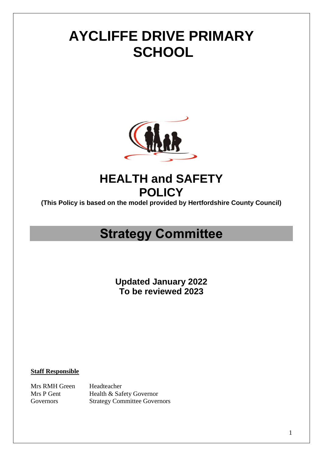# **AYCLIFFE DRIVE PRIMARY SCHOOL**



# **HEALTH and SAFETY POLICY**

**(This Policy is based on the model provided by Hertfordshire County Council)**

# **Strategy Committee**

**Updated January 2022 To be reviewed 2023**

**Staff Responsible**

Mrs RMH Green Headteacher Mrs P Gent Health & Safety Governor Governors Strategy Committee Governors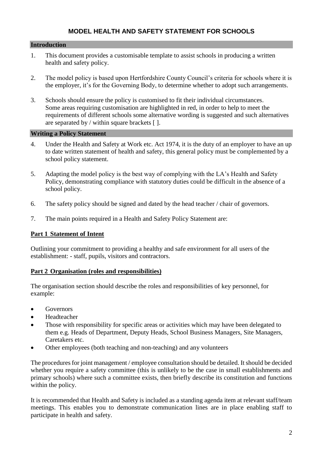# **MODEL HEALTH AND SAFETY STATEMENT FOR SCHOOLS**

#### **Introduction**

- 1. This document provides a customisable template to assist schools in producing a written health and safety policy.
- 2. The model policy is based upon Hertfordshire County Council's criteria for schools where it is the employer, it's for the Governing Body, to determine whether to adopt such arrangements.
- 3. Schools should ensure the policy is customised to fit their individual circumstances. Some areas requiring customisation are highlighted in red, in order to help to meet the requirements of different schools some alternative wording is suggested and such alternatives are separated by / within square brackets  $[ ]$ .

#### **Writing a Policy Statement**

- 4. Under the Health and Safety at Work etc. Act 1974, it is the duty of an employer to have an up to date written statement of health and safety, this general policy must be complemented by a school policy statement.
- 5. Adapting the model policy is the best way of complying with the LA's Health and Safety Policy, demonstrating compliance with statutory duties could be difficult in the absence of a school policy.
- 6. The safety policy should be signed and dated by the head teacher / chair of governors.
- 7. The main points required in a Health and Safety Policy Statement are:

#### **Part 1 Statement of Intent**

Outlining your commitment to providing a healthy and safe environment for all users of the establishment: - staff, pupils, visitors and contractors.

#### **Part 2 Organisation (roles and responsibilities)**

The organisation section should describe the roles and responsibilities of key personnel, for example:

- Governors
- Headteacher
- Those with responsibility for specific areas or activities which may have been delegated to them e.g. Heads of Department, Deputy Heads, School Business Managers, Site Managers, Caretakers etc.
- Other employees (both teaching and non-teaching) and any volunteers

The procedures for joint management / employee consultation should be detailed. It should be decided whether you require a safety committee (this is unlikely to be the case in small establishments and primary schools) where such a committee exists, then briefly describe its constitution and functions within the policy.

It is recommended that Health and Safety is included as a standing agenda item at relevant staff/team meetings. This enables you to demonstrate communication lines are in place enabling staff to participate in health and safety.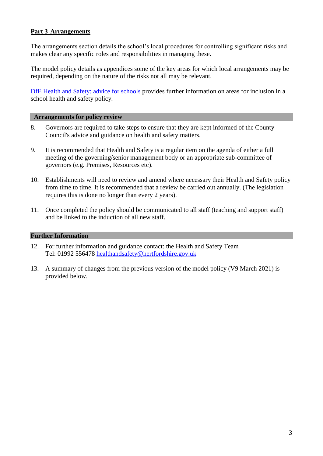# **Part 3 Arrangements**

The arrangements section details the school's local procedures for controlling significant risks and makes clear any specific roles and responsibilities in managing these.

The model policy details as appendices some of the key areas for which local arrangements may be required, depending on the nature of the risks not all may be relevant.

[DfE Health and Safety: advice for schools](https://www.gov.uk/government/publications/health-and-safety-advice-for-schools) provides further information on areas for inclusion in a school health and safety policy.

#### **Arrangements for policy review**

- 8. Governors are required to take steps to ensure that they are kept informed of the County Council's advice and guidance on health and safety matters.
- 9. It is recommended that Health and Safety is a regular item on the agenda of either a full meeting of the governing/senior management body or an appropriate sub-committee of governors (e.g. Premises, Resources etc).
- 10. Establishments will need to review and amend where necessary their Health and Safety policy from time to time. It is recommended that a review be carried out annually. (The legislation requires this is done no longer than every 2 years).
- 11. Once completed the policy should be communicated to all staff (teaching and support staff) and be linked to the induction of all new staff.

#### **Further Information**

- 12. For further information and guidance contact: the Health and Safety Team Tel: 01992 556478 [healthandsafety@hertfordshire.gov.uk](mailto:healthandsafety@hertfordshire.gov.uk)
- 13. A summary of changes from the previous version of the model policy (V9 March 2021) is provided below.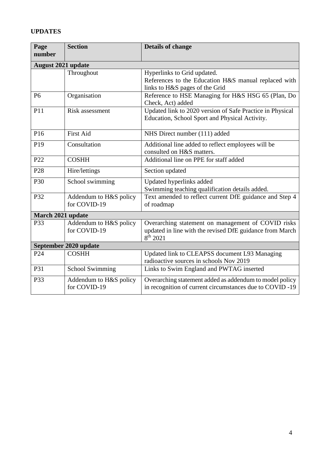# **UPDATES**

| Page                      | <b>Section</b>         | <b>Details of change</b>                                  |  |  |  |
|---------------------------|------------------------|-----------------------------------------------------------|--|--|--|
| number                    |                        |                                                           |  |  |  |
| <b>August 2021 update</b> |                        |                                                           |  |  |  |
|                           | Throughout             | Hyperlinks to Grid updated.                               |  |  |  |
|                           |                        | References to the Education H&S manual replaced with      |  |  |  |
|                           |                        | links to H&S pages of the Grid                            |  |  |  |
| P <sub>6</sub>            | Organisation           | Reference to HSE Managing for H&S HSG 65 (Plan, Do        |  |  |  |
|                           |                        | Check, Act) added                                         |  |  |  |
| P11                       | Risk assessment        | Updated link to 2020 version of Safe Practice in Physical |  |  |  |
|                           |                        | Education, School Sport and Physical Activity.            |  |  |  |
|                           |                        |                                                           |  |  |  |
| P16                       | <b>First Aid</b>       | NHS Direct number (111) added                             |  |  |  |
| P <sub>19</sub>           | Consultation           | Additional line added to reflect employees will be        |  |  |  |
|                           |                        | consulted on H&S matters.                                 |  |  |  |
| P <sub>22</sub>           | <b>COSHH</b>           | Additional line on PPE for staff added                    |  |  |  |
| P <sub>28</sub>           | Hire/lettings          | Section updated                                           |  |  |  |
| P30                       | School swimming        | Updated hyperlinks added                                  |  |  |  |
|                           |                        | Swimming teaching qualification details added.            |  |  |  |
| P32                       | Addendum to H&S policy | Text amended to reflect current DfE guidance and Step 4   |  |  |  |
|                           | for COVID-19           | of roadmap                                                |  |  |  |
| March 2021 update         |                        |                                                           |  |  |  |
| P33                       | Addendum to H&S policy | Overarching statement on management of COVID risks        |  |  |  |
|                           | for COVID-19           | updated in line with the revised DfE guidance from March  |  |  |  |
|                           |                        | $8^{th}$ 2021                                             |  |  |  |
| September 2020 update     |                        |                                                           |  |  |  |
| P <sub>24</sub>           | <b>COSHH</b>           | Updated link to CLEAPSS document L93 Managing             |  |  |  |
|                           |                        | radioactive sources in schools Nov 2019                   |  |  |  |
| P31                       | <b>School Swimming</b> | Links to Swim England and PWTAG inserted                  |  |  |  |
| P33                       | Addendum to H&S policy | Overarching statement added as addendum to model policy   |  |  |  |
|                           | for COVID-19           | in recognition of current circumstances due to COVID-19   |  |  |  |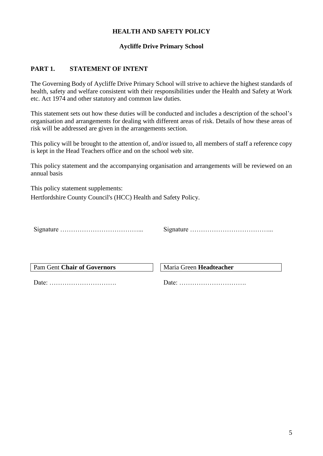## **HEALTH AND SAFETY POLICY**

## **Aycliffe Drive Primary School**

## **PART 1. STATEMENT OF INTENT**

The Governing Body of Aycliffe Drive Primary School will strive to achieve the highest standards of health, safety and welfare consistent with their responsibilities under the Health and Safety at Work etc. Act 1974 and other statutory and common law duties.

This statement sets out how these duties will be conducted and includes a description of the school's organisation and arrangements for dealing with different areas of risk. Details of how these areas of risk will be addressed are given in the arrangements section.

This policy will be brought to the attention of, and/or issued to, all members of staff a reference copy is kept in the Head Teachers office and on the school web site.

This policy statement and the accompanying organisation and arrangements will be reviewed on an annual basis

This policy statement supplements: Hertfordshire County Council's (HCC) Health and Safety Policy.

Signature ………………………………... Signature ………………………………...

Pam Gent **Chair of Governors** Maria Green **Headteacher** 

Date: …………………………. Date: ………………………….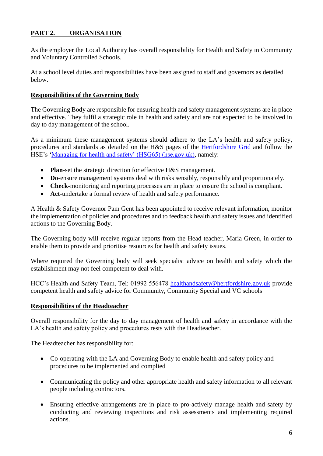# **PART 2. ORGANISATION**

As the employer the Local Authority has overall responsibility for Health and Safety in Community and Voluntary Controlled Schools.

At a school level duties and responsibilities have been assigned to staff and governors as detailed below.

## **Responsibilities of the Governing Body**

The Governing Body are responsible for ensuring health and safety management systems are in place and effective. They fulfil a strategic role in health and safety and are not expected to be involved in day to day management of the school.

As a minimum these management systems should adhere to the LA's health and safety policy, procedures and standards as detailed on the H&S pages of the [Hertfordshire Grid](https://thegrid.org.uk/health-and-safety-offsite-visits-premises/health-and-safety) and follow the HSE's ['Managing for health and safety' \(HSG65\) \(hse.gov.uk\),](https://www.hse.gov.uk/pubns/books/hsg65.htm) namely:

- **Plan**-set the strategic direction for effective H&S management.
- **Do**-ensure management systems deal with risks sensibly, responsibly and proportionately.
- **Check**-monitoring and reporting processes are in place to ensure the school is compliant.
- **Act**-undertake a formal review of health and safety performance.

A Health & Safety Governor Pam Gent has been appointed to receive relevant information, monitor the implementation of policies and procedures and to feedback health and safety issues and identified actions to the Governing Body.

The Governing body will receive regular reports from the Head teacher, Maria Green, in order to enable them to provide and prioritise resources for health and safety issues.

Where required the Governing body will seek specialist advice on health and safety which the establishment may not feel competent to deal with.

HCC's Health and Safety Team, Tel: 01992 556478 [healthandsafety@hertfordshire.gov.uk](mailto:healthandsafety@hertfordshire.gov.uk) provide competent health and safety advice for Community, Community Special and VC schools

#### **Responsibilities of the Headteacher**

Overall responsibility for the day to day management of health and safety in accordance with the LA's health and safety policy and procedures rests with the Headteacher.

The Headteacher has responsibility for:

- Co-operating with the LA and Governing Body to enable health and safety policy and procedures to be implemented and complied
- Communicating the policy and other appropriate health and safety information to all relevant people including contractors.
- Ensuring effective arrangements are in place to pro-actively manage health and safety by conducting and reviewing inspections and risk assessments and implementing required actions.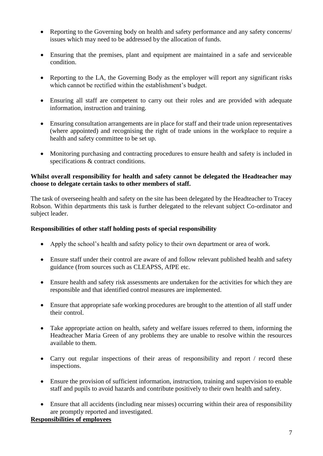- Reporting to the Governing body on health and safety performance and any safety concerns/ issues which may need to be addressed by the allocation of funds.
- Ensuring that the premises, plant and equipment are maintained in a safe and serviceable condition.
- Reporting to the LA, the Governing Body as the employer will report any significant risks which cannot be rectified within the establishment's budget.
- Ensuring all staff are competent to carry out their roles and are provided with adequate information, instruction and training.
- Ensuring consultation arrangements are in place for staff and their trade union representatives (where appointed) and recognising the right of trade unions in the workplace to require a health and safety committee to be set up.
- Monitoring purchasing and contracting procedures to ensure health and safety is included in specifications & contract conditions.

## **Whilst overall responsibility for health and safety cannot be delegated the Headteacher may choose to delegate certain tasks to other members of staff.**

The task of overseeing health and safety on the site has been delegated by the Headteacher to Tracey Robson. Within departments this task is further delegated to the relevant subject Co-ordinator and subject leader.

## **Responsibilities of other staff holding posts of special responsibility**

- Apply the school's health and safety policy to their own department or area of work.
- Ensure staff under their control are aware of and follow relevant published health and safety guidance (from sources such as CLEAPSS, AfPE etc.
- Ensure health and safety risk assessments are undertaken for the activities for which they are responsible and that identified control measures are implemented.
- Ensure that appropriate safe working procedures are brought to the attention of all staff under their control.
- Take appropriate action on health, safety and welfare issues referred to them, informing the Headteacher Maria Green of any problems they are unable to resolve within the resources available to them.
- Carry out regular inspections of their areas of responsibility and report / record these inspections.
- Ensure the provision of sufficient information, instruction, training and supervision to enable staff and pupils to avoid hazards and contribute positively to their own health and safety.
- Ensure that all accidents (including near misses) occurring within their area of responsibility are promptly reported and investigated.

# **Responsibilities of employees**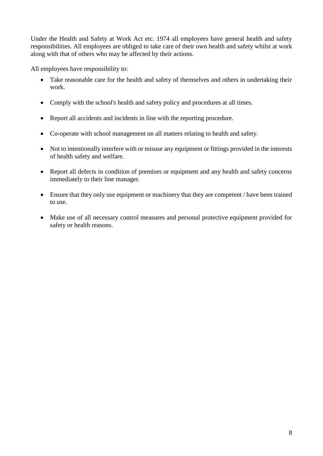Under the Health and Safety at Work Act etc. 1974 all employees have general health and safety responsibilities. All employees are obliged to take care of their own health and safety whilst at work along with that of others who may be affected by their actions.

All employees have responsibility to:

- Take reasonable care for the health and safety of themselves and others in undertaking their work.
- Comply with the school's health and safety policy and procedures at all times.
- Report all accidents and incidents in line with the reporting procedure.
- Co-operate with school management on all matters relating to health and safety.
- Not to intentionally interfere with or misuse any equipment or fittings provided in the interests of health safety and welfare.
- Report all defects in condition of premises or equipment and any health and safety concerns immediately to their line manager.
- Ensure that they only use equipment or machinery that they are competent / have been trained to use.
- Make use of all necessary control measures and personal protective equipment provided for safety or health reasons.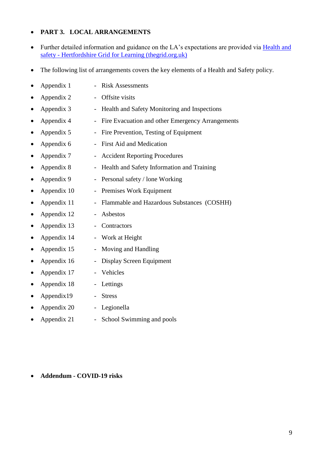## **PART 3. LOCAL ARRANGEMENTS**

- Further detailed information and guidance on the LA's expectations are provided via Health and safety - [Hertfordshire Grid for Learning \(thegrid.org.uk\)](https://thegrid.org.uk/health-and-safety-offsite-visits-premises/health-and-safety)
- The following list of arrangements covers the key elements of a Health and Safety policy.

|           | Appendix 1  |                          | <b>Risk Assessments</b>                          |
|-----------|-------------|--------------------------|--------------------------------------------------|
| ٠         | Appendix 2  |                          | Offsite visits                                   |
| $\bullet$ | Appendix 3  | $\overline{\phantom{0}}$ | Health and Safety Monitoring and Inspections     |
| $\bullet$ | Appendix 4  | $\overline{\phantom{0}}$ | Fire Evacuation and other Emergency Arrangements |
| $\bullet$ | Appendix 5  |                          | Fire Prevention, Testing of Equipment            |
|           | Appendix 6  |                          | <b>First Aid and Medication</b>                  |
| $\bullet$ | Appendix 7  |                          | <b>Accident Reporting Procedures</b>             |
| ٠         | Appendix 8  | $\qquad \qquad -$        | Health and Safety Information and Training       |
| ٠         | Appendix 9  | $\overline{\phantom{0}}$ | Personal safety / lone Working                   |
|           | Appendix 10 | $\overline{\phantom{0}}$ | Premises Work Equipment                          |
|           | Appendix 11 | $\overline{\phantom{0}}$ | Flammable and Hazardous Substances (COSHH)       |
| $\bullet$ | Appendix 12 | $\overline{\phantom{a}}$ | Asbestos                                         |
| $\bullet$ | Appendix 13 |                          | Contractors                                      |
| $\bullet$ | Appendix 14 | $\qquad \qquad -$        | Work at Height                                   |
| $\bullet$ | Appendix 15 |                          | Moving and Handling                              |
|           | Appendix 16 | $\overline{\phantom{0}}$ | Display Screen Equipment                         |
| ٠         | Appendix 17 |                          | Vehicles                                         |
| ٠         | Appendix 18 | $\overline{\phantom{0}}$ | Lettings                                         |
| ٠         | Appendix19  |                          | <b>Stress</b>                                    |
|           | Appendix 20 |                          | Legionella                                       |
|           | Appendix 21 | $\overline{\phantom{a}}$ | School Swimming and pools                        |

#### **Addendum - COVID-19 risks**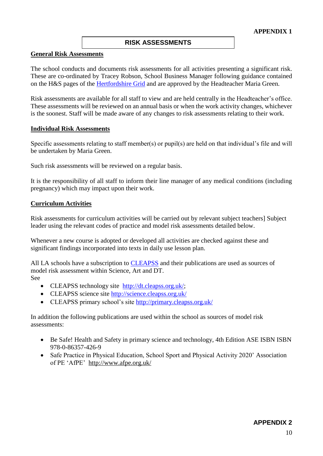#### **RISK ASSESSMENTS**

#### **General Risk Assessments**

The school conducts and documents risk assessments for all activities presenting a significant risk. These are co-ordinated by Tracey Robson, School Business Manager following guidance contained on the H&S pages of the [Hertfordshire Grid](https://thegrid.org.uk/health-and-safety-offsite-visits-premises/health-and-safety/risk-assessments) and are approved by the Headteacher Maria Green.

Risk assessments are available for all staff to view and are held centrally in the Headteacher's office. These assessments will be reviewed on an annual basis or when the work activity changes, whichever is the soonest. Staff will be made aware of any changes to risk assessments relating to their work.

#### **Individual Risk Assessments**

Specific assessments relating to staff member(s) or pupil(s) are held on that individual's file and will be undertaken by Maria Green.

Such risk assessments will be reviewed on a regular basis.

It is the responsibility of all staff to inform their line manager of any medical conditions (including pregnancy) which may impact upon their work.

#### **Curriculum Activities**

Risk assessments for curriculum activities will be carried out by relevant subject teachers] Subject leader using the relevant codes of practice and model risk assessments detailed below.

Whenever a new course is adopted or developed all activities are checked against these and significant findings incorporated into texts in daily use lesson plan.

All LA schools have a subscription to [CLEAPSS](http://www.cleapss.org.uk/) and their publications are used as sources of model risk assessment within Science, Art and DT. See

- CLEAPSS technology site [http://dt.cleapss.org.uk/;](http://dt.cleapss.org.uk/)
- CLEAPSS science site<http://science.cleapss.org.uk/>
- CLEAPSS primary school's site<http://primary.cleapss.org.uk/>

In addition the following publications are used within the school as sources of model risk assessments:

- Be Safe! Health and Safety in primary science and technology, 4th Edition ASE ISBN ISBN 978-0-86357-426-9
- Safe Practice in Physical Education, School Sport and Physical Activity 2020' Association of PE 'AfPE' <http://www.afpe.org.uk/>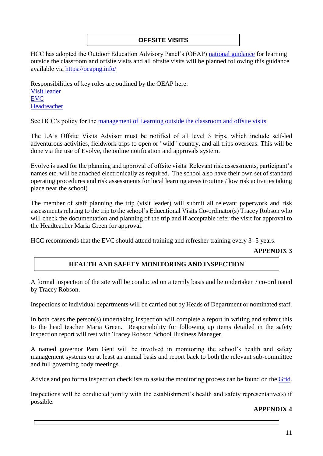# **OFFSITE VISITS**

HCC has adopted the Outdoor Education Advisory Panel's (OEAP) [national guidance](https://oeapng.info/) for learning outside the classroom and offsite visits and all offsite visits will be planned following this guidance available via<https://oeapng.info/>

Responsibilities of key roles are outlined by the OEAP here: [Visit leader](https://oeapng.info/downloads/download-info/3-4k-visit-or-activity-leader) [EVC](https://oeapng.info/downloads/download-info/3-4j-evc-responsibilities) [Headteacher](https://oeapng.info/downloads/download-info/3-4g-headteacher/)

See HCC's policy for the management of Learning outside the classroom and offsite visits

The LA's Offsite Visits Advisor must be notified of all level 3 trips, which include self-led adventurous activities, fieldwork trips to open or "wild" country, and all trips overseas. This will be done via the use of Evolve, the online notification and approvals system.

Evolve is used for the planning and approval of offsite visits. Relevant risk assessments, participant's names etc. will be attached electronically as required. The school also have their own set of standard operating procedures and risk assessments for local learning areas (routine / low risk activities taking place near the school)

The member of staff planning the trip (visit leader) will submit all relevant paperwork and risk assessments relating to the trip to the school's Educational Visits Co-ordinator(s) Tracey Robson who will check the documentation and planning of the trip and if acceptable refer the visit for approval to the Headteacher Maria Green for approval.

HCC recommends that the EVC should attend training and refresher training every 3 -5 years.

#### **APPENDIX 3**

## **HEALTH AND SAFETY MONITORING AND INSPECTION**

A formal inspection of the site will be conducted on a termly basis and be undertaken / co-ordinated by Tracey Robson.

Inspections of individual departments will be carried out by Heads of Department or nominated staff.

In both cases the person(s) undertaking inspection will complete a report in writing and submit this to the head teacher Maria Green. Responsibility for following up items detailed in the safety inspection report will rest with Tracey Robson School Business Manager.

A named governor Pam Gent will be involved in monitoring the school's health and safety management systems on at least an annual basis and report back to both the relevant sub-committee and full governing body meetings.

Advice and pro forma inspection checklists to assist the monitoring process can be found on the [Grid.](https://thegrid.org.uk/health-and-safety-offsite-visits-premises/health-and-safety/monitoring-inspection)

Inspections will be conducted jointly with the establishment's health and safety representative(s) if possible.

## **APPENDIX 4**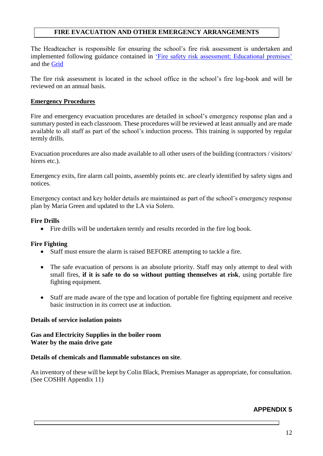## **FIRE EVACUATION AND OTHER EMERGENCY ARRANGEMENTS**

The Headteacher is responsible for ensuring the school's fire risk assessment is undertaken and implemented following guidance contained in ['Fire safety risk assessment; Educational premises'](https://www.gov.uk/government/publications/fire-safety-risk-assessment-educational-premises) and the [Grid](https://thegrid.org.uk/health-and-safety-offsite-visits-premises/health-and-safety/health-and-safety-topics/fire-safety)

The fire risk assessment is located in the school office in the school's fire log-book and will be reviewed on an annual basis.

#### **Emergency Procedures**

Fire and emergency evacuation procedures are detailed in school's emergency response plan and a summary posted in each classroom. These procedures will be reviewed at least annually and are made available to all staff as part of the school's induction process. This training is supported by regular termly drills.

Evacuation procedures are also made available to all other users of the building (contractors / visitors/ hirers etc.).

Emergency exits, fire alarm call points, assembly points etc. are clearly identified by safety signs and notices.

Emergency contact and key holder details are maintained as part of the school's emergency response plan by Maria Green and updated to the LA via Solero.

### **Fire Drills**

Fire drills will be undertaken termly and results recorded in the fire log book.

## **Fire Fighting**

- Staff must ensure the alarm is raised BEFORE attempting to tackle a fire.
- The safe evacuation of persons is an absolute priority. Staff may only attempt to deal with small fires, **if it is safe to do so without putting themselves at risk**, using portable fire fighting equipment.
- Staff are made aware of the type and location of portable fire fighting equipment and receive basic instruction in its correct use at induction.

#### **Details of service isolation points**

#### **Gas and Electricity Supplies in the boiler room Water by the main drive gate**

#### **Details of chemicals and flammable substances on site**.

An inventory of these will be kept by Colin Black, Premises Manager as appropriate, for consultation. (See COSHH Appendix 11)

## **APPENDIX 5**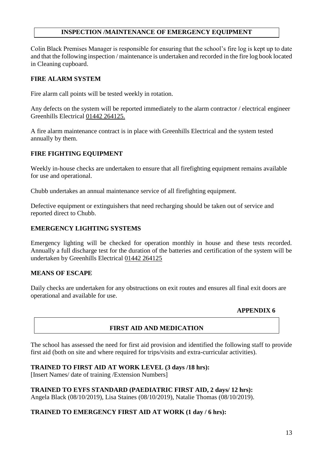## **INSPECTION /MAINTENANCE OF EMERGENCY EQUIPMENT**

Colin Black Premises Manager is responsible for ensuring that the school's fire log is kept up to date and that the following inspection / maintenance is undertaken and recorded in the fire log book located in Cleaning cupboard.

## **FIRE ALARM SYSTEM**

Fire alarm call points will be tested weekly in rotation.

Any defects on the system will be reported immediately to the alarm contractor / electrical engineer Greenhills Electrical [01442 264125.](https://www.google.co.uk/search?q=greenhill+electrical&safe=active&ssui=on)

A fire alarm maintenance contract is in place with Greenhills Electrical and the system tested annually by them.

## **FIRE FIGHTING EQUIPMENT**

Weekly in-house checks are undertaken to ensure that all firefighting equipment remains available for use and operational.

Chubb undertakes an annual maintenance service of all firefighting equipment.

Defective equipment or extinguishers that need recharging should be taken out of service and reported direct to Chubb.

## **EMERGENCY LIGHTING SYSTEMS**

Emergency lighting will be checked for operation monthly in house and these tests recorded. Annually a full discharge test for the duration of the batteries and certification of the system will be undertaken by Greenhills Electrical [01442 264125](https://www.google.co.uk/search?q=greenhill+electrical&safe=active&ssui=on)

## **MEANS OF ESCAPE**

Daily checks are undertaken for any obstructions on exit routes and ensures all final exit doors are operational and available for use.

#### **APPENDIX 6**

## **FIRST AID AND MEDICATION**

The school has assessed the need for first aid provision and identified the following staff to provide first aid (both on site and where required for trips/visits and extra-curricular activities).

#### **TRAINED TO FIRST AID AT WORK LEVEL (3 days /18 hrs):**

[Insert Names/ date of training /Extension Numbers]

**TRAINED TO EYFS STANDARD (PAEDIATRIC FIRST AID, 2 days/ 12 hrs):** Angela Black (08/10/2019), Lisa Staines (08/10/2019), Natalie Thomas (08/10/2019).

## **TRAINED TO EMERGENCY FIRST AID AT WORK (1 day / 6 hrs):**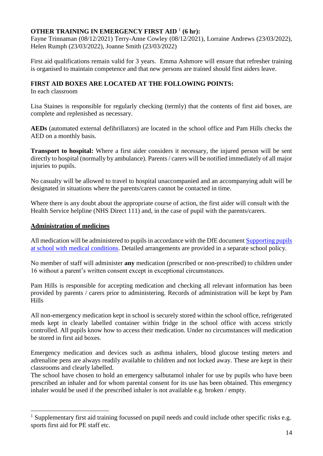# **OTHER TRAINING IN EMERGENCY FIRST AID** <sup>1</sup> **(6 hr):**

Fayne Trinnaman (08/12/2021) Terry-Anne Cowley (08/12/2021), Lorraine Andrews (23/03/2022), Helen Rumph (23/03/2022), Joanne Smith (23/03/2022)

First aid qualifications remain valid for 3 years. Emma Ashmore will ensure that refresher training is organised to maintain competence and that new persons are trained should first aiders leave.

## **FIRST AID BOXES ARE LOCATED AT THE FOLLOWING POINTS:**

In each classroom

Lisa Staines is responsible for regularly checking (termly) that the contents of first aid boxes, are complete and replenished as necessary.

**AEDs** (automated external defibrillators) are located in the school office and Pam Hills checks the AED on a monthly basis.

**Transport to hospital:** Where a first aider considers it necessary, the injured person will be sent directly to hospital (normally by ambulance). Parents / carers will be notified immediately of all major injuries to pupils.

No casualty will be allowed to travel to hospital unaccompanied and an accompanying adult will be designated in situations where the parents/carers cannot be contacted in time.

Where there is any doubt about the appropriate course of action, the first aider will consult with the Health Service helpline (NHS Direct 111) and, in the case of pupil with the parents/carers.

## **Administration of medicines**

1

All medication will be administered to pupils in accordance with the DfE document Supporting pupils [at school with medical conditions.](https://www.gov.uk/government/publications/supporting-pupils-at-school-with-medical-conditions--3) Detailed arrangements are provided in a separate school policy.

No member of staff will administer **any** medication (prescribed or non-prescribed) to children under 16 without a parent's written consent except in exceptional circumstances.

Pam Hills is responsible for accepting medication and checking all relevant information has been provided by parents / carers prior to administering. Records of administration will be kept by Pam Hills

All non-emergency medication kept in school is securely stored within the school office, refrigerated meds kept in clearly labelled container within fridge in the school office with access strictly controlled. All pupils know how to access their medication. Under no circumstances will medication be stored in first aid boxes.

Emergency medication and devices such as asthma inhalers, blood glucose testing meters and adrenaline pens are always readily available to children and not locked away. These are kept in their classrooms and clearly labelled.

The school have chosen to hold an emergency salbutamol inhaler for use by pupils who have been prescribed an inhaler and for whom parental consent for its use has been obtained. This emergency inhaler would be used if the prescribed inhaler is not available e.g. broken / empty.

<sup>&</sup>lt;sup>1</sup> Supplementary first aid training focussed on pupil needs and could include other specific risks e.g. sports first aid for PE staff etc.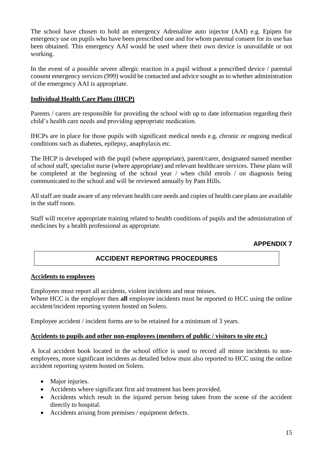The school have chosen to hold an emergency Adrenaline auto injector (AAI) e.g. Epipen for emergency use on pupils who have been prescribed one and for whom parental consent for its use has been obtained. This emergency AAI would be used where their own device is unavailable or not working.

In the event of a possible severe allergic reaction in a pupil without a prescribed device / parental consent emergency services (999) would be contacted and advice sought as to whether administration of the emergency AAI is appropriate.

## **Individual Health Care Plans (IHCP)**

Parents / carers are responsible for providing the school with up to date information regarding their child's health care needs and providing appropriate medication.

IHCPs are in place for those pupils with significant medical needs e.g. chronic or ongoing medical conditions such as diabetes, epilepsy, anaphylaxis etc.

The IHCP is developed with the pupil (where appropriate), parent/carer, designated named member of school staff, specialist nurse (where appropriate) and relevant healthcare services. These plans will be completed at the beginning of the school year / when child enrols / on diagnosis being communicated to the school and will be reviewed annually by Pam Hills.

All staff are made aware of any relevant health care needs and copies of health care plans are available in the staff room.

Staff will receive appropriate training related to health conditions of pupils and the administration of medicines by a health professional as appropriate.

# **APPENDIX 7**

# **ACCIDENT REPORTING PROCEDURES**

#### **Accidents to employees**

Employees must report all accidents, violent incidents and near misses.

Where HCC is the employer then **all** employee incidents must be reported to HCC using the online accident/incident reporting system hosted on Solero.

Employee accident / incident forms are to be retained for a minimum of 3 years.

#### **Accidents to pupils and other non-employees (members of public / visitors to site etc.)**

A local accident book located in the school office is used to record all minor incidents to nonemployees, more significant incidents as detailed below must also reported to HCC using the online accident reporting system hosted on Solero.

- Major injuries.
- Accidents where significant first aid treatment has been provided.
- Accidents which result in the injured person being taken from the scene of the accident directly to hospital.
- Accidents arising from premises / equipment defects.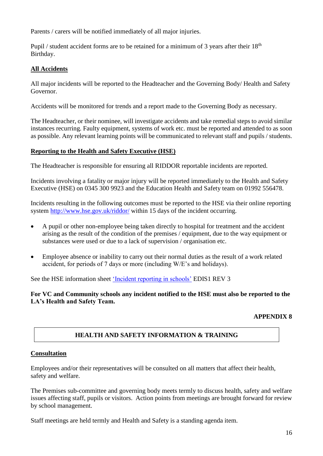Parents / carers will be notified immediately of all major injuries.

Pupil / student accident forms are to be retained for a minimum of 3 years after their 18<sup>th</sup> Birthday.

# **All Accidents**

All major incidents will be reported to the Headteacher and the Governing Body/ Health and Safety Governor.

Accidents will be monitored for trends and a report made to the Governing Body as necessary.

The Headteacher, or their nominee, will investigate accidents and take remedial steps to avoid similar instances recurring. Faulty equipment, systems of work etc. must be reported and attended to as soon as possible. Any relevant learning points will be communicated to relevant staff and pupils / students.

## **Reporting to the Health and Safety Executive (HSE)**

The Headteacher is responsible for ensuring all RIDDOR reportable incidents are reported.

Incidents involving a fatality or major injury will be reported immediately to the Health and Safety Executive (HSE) on 0345 300 9923 and the Education Health and Safety team on 01992 556478.

Incidents resulting in the following outcomes must be reported to the HSE via their online reporting system<http://www.hse.gov.uk/riddor/> within 15 days of the incident occurring.

- A pupil or other non-employee being taken directly to hospital for treatment and the accident arising as the result of the condition of the premises / equipment, due to the way equipment or substances were used or due to a lack of supervision / organisation etc.
- Employee absence or inability to carry out their normal duties as the result of a work related accident, for periods of 7 days or more (including W/E's and holidays).

See the HSE information sheet ['Incident reporting in schools'](http://www.hse.gov.uk/pubns/edis1.pdf) EDIS1 REV 3

**For VC and Community schools any incident notified to the HSE must also be reported to the LA's Health and Safety Team.** 

# **APPENDIX 8**

# **HEALTH AND SAFETY INFORMATION & TRAINING**

## **Consultation**

Employees and/or their representatives will be consulted on all matters that affect their health, safety and welfare.

The Premises sub-committee and governing body meets termly to discuss health, safety and welfare issues affecting staff, pupils or visitors. Action points from meetings are brought forward for review by school management.

Staff meetings are held termly and Health and Safety is a standing agenda item.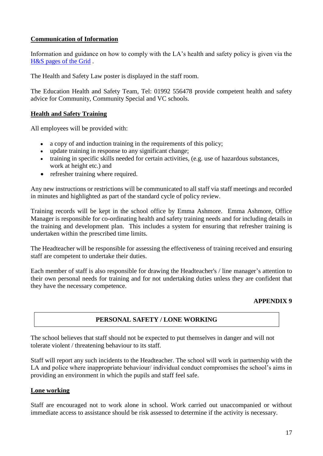## **Communication of Information**

Information and guidance on how to comply with the LA's health and safety policy is given via the [H&S pages of the Grid](https://thegrid.org.uk/health-and-safety-offsite-visits-premises/health-and-safety/health-and-safety-topics/fire-safety) .

The Health and Safety Law poster is displayed in the staff room.

The Education Health and Safety Team, Tel: 01992 556478 provide competent health and safety advice for Community, Community Special and VC schools.

## **Health and Safety Training**

All employees will be provided with:

- a copy of and induction training in the requirements of this policy;
- update training in response to any significant change;
- training in specific skills needed for certain activities, (e.g. use of hazardous substances, work at height etc.) and
- refresher training where required.

Any new instructions or restrictions will be communicated to all staff via staff meetings and recorded in minutes and highlighted as part of the standard cycle of policy review.

Training records will be kept in the school office by Emma Ashmore. Emma Ashmore, Office Manager is responsible for co-ordinating health and safety training needs and for including details in the training and development plan. This includes a system for ensuring that refresher training is undertaken within the prescribed time limits.

The Headteacher will be responsible for assessing the effectiveness of training received and ensuring staff are competent to undertake their duties.

Each member of staff is also responsible for drawing the Headteacher's / line manager's attention to their own personal needs for training and for not undertaking duties unless they are confident that they have the necessary competence.

## **APPENDIX 9**

# **PERSONAL SAFETY / LONE WORKING**

The school believes that staff should not be expected to put themselves in danger and will not tolerate violent / threatening behaviour to its staff.

Staff will report any such incidents to the Headteacher. The school will work in partnership with the LA and police where inappropriate behaviour/ individual conduct compromises the school's aims in providing an environment in which the pupils and staff feel safe.

#### **Lone working**

Staff are encouraged not to work alone in school. Work carried out unaccompanied or without immediate access to assistance should be risk assessed to determine if the activity is necessary.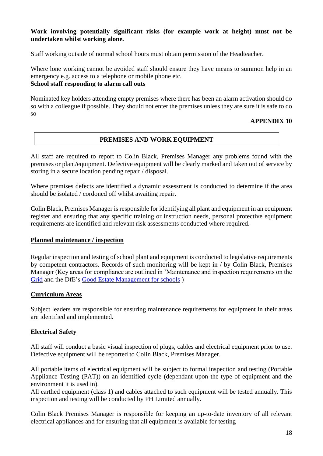## **Work involving potentially significant risks (for example work at height) must not be undertaken whilst working alone.**

Staff working outside of normal school hours must obtain permission of the Headteacher.

Where lone working cannot be avoided staff should ensure they have means to summon help in an emergency e.g. access to a telephone or mobile phone etc.

# **School staff responding to alarm call outs**

Nominated key holders attending empty premises where there has been an alarm activation should do so with a colleague if possible. They should not enter the premises unless they are sure it is safe to do so

## **APPENDIX 10**

# **PREMISES AND WORK EQUIPMENT**

All staff are required to report to Colin Black, Premises Manager any problems found with the premises or plant/equipment. Defective equipment will be clearly marked and taken out of service by storing in a secure location pending repair / disposal.

Where premises defects are identified a dynamic assessment is conducted to determine if the area should be isolated / cordoned off whilst awaiting repair.

Colin Black, Premises Manager is responsible for identifying all plant and equipment in an equipment register and ensuring that any specific training or instruction needs, personal protective equipment requirements are identified and relevant risk assessments conducted where required.

## **Planned maintenance / inspection**

Regular inspection and testing of school plant and equipment is conducted to legislative requirements by competent contractors. Records of such monitoring will be kept in / by Colin Black, Premises Manager (Key areas for compliance are outlined in 'Maintenance and inspection requirements on the [Grid](https://thegrid.org.uk/health-and-safety-offsite-visits-premises/health-and-safety/premises-and-site-related) and the DfE's [Good Estate Management for schools](https://www.gov.uk/guidance/good-estate-management-for-schools/health-and-safety) )

## **Curriculum Areas**

Subject leaders are responsible for ensuring maintenance requirements for equipment in their areas are identified and implemented.

## **Electrical Safety**

All staff will conduct a basic visual inspection of plugs, cables and electrical equipment prior to use. Defective equipment will be reported to Colin Black, Premises Manager.

All portable items of electrical equipment will be subject to formal inspection and testing (Portable Appliance Testing (PAT)) on an identified cycle (dependant upon the type of equipment and the environment it is used in).

All earthed equipment (class 1) and cables attached to such equipment will be tested annually. This inspection and testing will be conducted by PH Limited annually.

Colin Black Premises Manager is responsible for keeping an up-to-date inventory of all relevant electrical appliances and for ensuring that all equipment is available for testing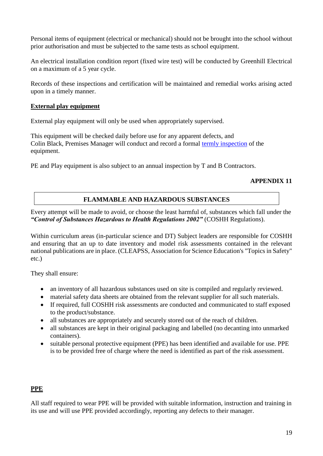Personal items of equipment (electrical or mechanical) should not be brought into the school without prior authorisation and must be subjected to the same tests as school equipment.

An electrical installation condition report (fixed wire test) will be conducted by Greenhill Electrical on a maximum of a 5 year cycle.

Records of these inspections and certification will be maintained and remedial works arising acted upon in a timely manner.

## **External play equipment**

External play equipment will only be used when appropriately supervised.

This equipment will be checked daily before use for any apparent defects, and Colin Black, Premises Manager will conduct and record a formal [termly inspection](https://thegrid.org.uk/health-and-safety-offsite-visits-premises/health-and-safety/health-and-safety-topics/play-equipment) of the equipment.

PE and Play equipment is also subject to an annual inspection by T and B Contractors.

## **APPENDIX 11**

# **FLAMMABLE AND HAZARDOUS SUBSTANCES**

Every attempt will be made to avoid, or choose the least harmful of, substances which fall under the *"Control of Substances Hazardous to Health Regulations 2002"* (COSHH Regulations).

Within curriculum areas (in-particular science and DT) Subject leaders are responsible for COSHH and ensuring that an up to date inventory and model risk assessments contained in the relevant national publications are in place. (CLEAPSS, Association for Science Education's "Topics in Safety" etc.)

They shall ensure:

- an inventory of all hazardous substances used on site is compiled and regularly reviewed.
- material safety data sheets are obtained from the relevant supplier for all such materials.
- If required, full COSHH risk assessments are conducted and communicated to staff exposed to the product/substance.
- all substances are appropriately and securely stored out of the reach of children.
- all substances are kept in their original packaging and labelled (no decanting into unmarked containers).
- suitable personal protective equipment (PPE) has been identified and available for use. PPE is to be provided free of charge where the need is identified as part of the risk assessment.

# **PPE**

All staff required to wear PPE will be provided with suitable information, instruction and training in its use and will use PPE provided accordingly, reporting any defects to their manager.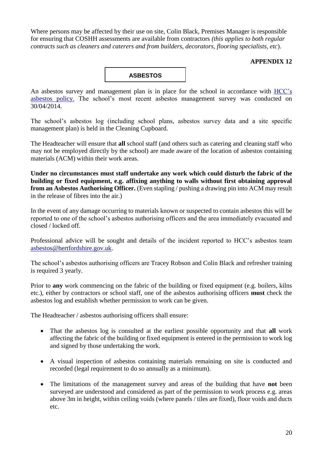Where persons may be affected by their use on site, Colin Black, Premises Manager is responsible for ensuring that COSHH assessments are available from contractors *(this applies to both regular contracts such as cleaners and caterers and from builders, decorators, flooring specialists, etc*).

## **APPENDIX 12**



An asbestos survey and management plan is in place for the school in accordance with [HCC's](https://thegrid.org.uk/health-and-safety-offsite-visits-premises/health-and-safety/asbestos)  [asbestos policy.](https://thegrid.org.uk/health-and-safety-offsite-visits-premises/health-and-safety/asbestos) The school's most recent asbestos management survey was conducted on 30/04/2014.

The school's asbestos log (including school plans, asbestos survey data and a site specific management plan) is held in the Cleaning Cupboard.

The Headteacher will ensure that **all** school staff (and others such as catering and cleaning staff who may not be employed directly by the school) are made aware of the location of asbestos containing materials (ACM) within their work areas.

**Under no circumstances must staff undertake any work which could disturb the fabric of the building or fixed equipment, e.g. affixing anything to walls without first obtaining approval from an Asbestos Authorising Officer.** (Even stapling / pushing a drawing pin into ACM may result in the release of fibres into the air.)

In the event of any damage occurring to materials known or suspected to contain asbestos this will be reported to one of the school's asbestos authorising officers and the area immediately evacuated and closed / locked off.

Professional advice will be sought and details of the incident reported to HCC's asbestos team [asbestos@hertfordshire.gov.uk.](mailto:asbestos@hertfordshire.gov.uk)

The school's asbestos authorising officers are Tracey Robson and Colin Black and refresher training is required 3 yearly.

Prior to **any** work commencing on the fabric of the building or fixed equipment (e.g. boilers, kilns etc.), either by contractors or school staff, one of the asbestos authorising officers **must** check the asbestos log and establish whether permission to work can be given.

The Headteacher / asbestos authorising officers shall ensure:

- That the asbestos log is consulted at the earliest possible opportunity and that **all** work affecting the fabric of the building or fixed equipment is entered in the permission to work log and signed by those undertaking the work.
- A visual inspection of asbestos containing materials remaining on site is conducted and recorded (legal requirement to do so annually as a minimum).
- The limitations of the management survey and areas of the building that have **not** been surveyed are understood and considered as part of the permission to work process e.g. areas above 3m in height, within ceiling voids (where panels / tiles are fixed), floor voids and ducts etc.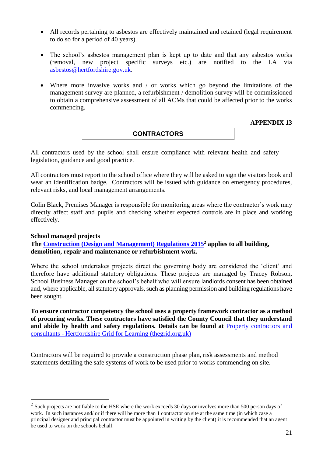- All records pertaining to asbestos are effectively maintained and retained (legal requirement to do so for a period of 40 years).
- The school's asbestos management plan is kept up to date and that any asbestos works (removal, new project specific surveys etc.) are notified to the LA via [asbestos@hertfordshire.gov.uk.](mailto:asbestos@hertfordshire.gov.uk)
- Where more invasive works and / or works which go beyond the limitations of the management survey are planned, a refurbishment / demolition survey will be commissioned to obtain a comprehensive assessment of all ACMs that could be affected prior to the works commencing.

## **APPENDIX 13**

## **CONTRACTORS**

All contractors used by the school shall ensure compliance with relevant health and safety legislation, guidance and good practice.

All contractors must report to the school office where they will be asked to sign the visitors book and wear an identification badge. Contractors will be issued with guidance on emergency procedures, relevant risks, and local management arrangements.

Colin Black, Premises Manager is responsible for monitoring areas where the contractor's work may directly affect staff and pupils and checking whether expected controls are in place and working effectively.

#### **School managed projects**

1

**The [Construction \(Design and Management\) Regulations](http://www.hse.gov.uk/construction/cdm/2015/index.htm?ebul=gd-cons/jun15&cr=1) 2015<sup>2</sup> applies to all building, demolition, repair and maintenance or refurbishment work.**

Where the school undertakes projects direct the governing body are considered the 'client' and therefore have additional statutory obligations. These projects are managed by Tracey Robson, School Business Manager on the school's behalf who will ensure landlords consent has been obtained and, where applicable, all statutory approvals, such as planning permission and building regulations have been sought.

**To ensure contractor competency the school uses a property framework contractor as a method of procuring works. These contractors have satisfied the County Council that they understand and abide by health and safety regulations. Details can be found at** [Property contractors and](https://thegrid.org.uk/health-and-safety-offsite-visits-premises/premises-and-sites/property-contractors-and-consultants)  consultants - [Hertfordshire Grid for Learning \(thegrid.org.uk\)](https://thegrid.org.uk/health-and-safety-offsite-visits-premises/premises-and-sites/property-contractors-and-consultants)

Contractors will be required to provide a construction phase plan, risk assessments and method statements detailing the safe systems of work to be used prior to works commencing on site.

 $2$  Such projects are notifiable to the HSE where the work exceeds 30 days or involves more than 500 person days of work. In such instances and/ or if there will be more than 1 contractor on site at the same time (in which case a principal designer and principal contractor must be appointed in writing by the client) it is recommended that an agent be used to work on the schools behalf.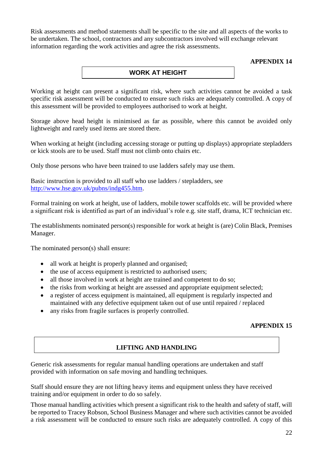Risk assessments and method statements shall be specific to the site and all aspects of the works to be undertaken. The school, contractors and any subcontractors involved will exchange relevant information regarding the work activities and agree the risk assessments.

## **APPENDIX 14**

# **WORK AT HEIGHT**

Working at height can present a significant risk, where such activities cannot be avoided a task specific risk assessment will be conducted to ensure such risks are adequately controlled. A copy of this assessment will be provided to employees authorised to work at height.

Storage above head height is minimised as far as possible, where this cannot be avoided only lightweight and rarely used items are stored there.

When working at height (including accessing storage or putting up displays) appropriate stepladders or kick stools are to be used. Staff must not climb onto chairs etc.

Only those persons who have been trained to use ladders safely may use them.

Basic instruction is provided to all staff who use ladders / stepladders, see [http://www.hse.gov.uk/pubns/indg455.htm.](http://www.hse.gov.uk/pubns/indg455.htm)

Formal training on work at height, use of ladders, mobile tower scaffolds etc. will be provided where a significant risk is identified as part of an individual's role e.g. site staff, drama, ICT technician etc.

The establishments nominated person(s) responsible for work at height is (are) Colin Black, Premises Manager.

The nominated person(s) shall ensure:

- all work at height is properly planned and organised;
- the use of access equipment is restricted to authorised users;
- all those involved in work at height are trained and competent to do so:
- the risks from working at height are assessed and appropriate equipment selected;
- a register of access equipment is maintained, all equipment is regularly inspected and maintained with any defective equipment taken out of use until repaired / replaced
- any risks from fragile surfaces is properly controlled.

# **APPENDIX 15**

# **LIFTING AND HANDLING**

Generic risk assessments for regular manual handling operations are undertaken and staff provided with information on safe moving and handling techniques.

Staff should ensure they are not lifting heavy items and equipment unless they have received training and/or equipment in order to do so safely.

Those manual handling activities which present a significant risk to the health and safety of staff, will be reported to Tracey Robson, School Business Manager and where such activities cannot be avoided a risk assessment will be conducted to ensure such risks are adequately controlled. A copy of this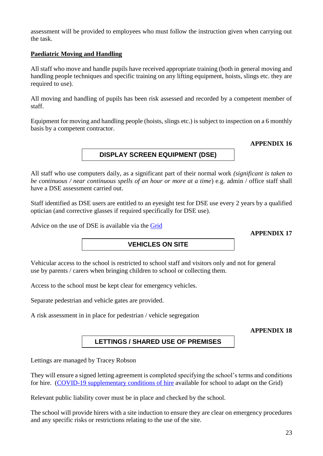assessment will be provided to employees who must follow the instruction given when carrying out the task.

## **Paediatric Moving and Handling**

All staff who move and handle pupils have received appropriate training (both in general moving and handling people techniques and specific training on any lifting equipment, hoists, slings etc. they are required to use).

All moving and handling of pupils has been risk assessed and recorded by a competent member of staff.

Equipment for moving and handling people (hoists, slings etc.) is subject to inspection on a 6 monthly basis by a competent contractor.

## **APPENDIX 16**

**DISPLAY SCREEN EQUIPMENT (DSE)**

All staff who use computers daily, as a significant part of their normal work *(significant is taken to be continuous / near continuous spells of an hour or more at a time*) e.g. admin / office staff shall have a DSE assessment carried out.

Staff identified as DSE users are entitled to an eyesight test for DSE use every 2 years by a qualified optician (and corrective glasses if required specifically for DSE use).

Advice on the use of DSE is available via the [Grid](https://thegrid.org.uk/health-and-safety-offsite-visits-premises/health-and-safety/health-and-safety-topics/display-screen-equipment)

**APPENDIX 17**

# **VEHICLES ON SITE**

Vehicular access to the school is restricted to school staff and visitors only and not for general use by parents / carers when bringing children to school or collecting them.

Access to the school must be kept clear for emergency vehicles.

Separate pedestrian and vehicle gates are provided.

A risk assessment in in place for pedestrian / vehicle segregation

**APPENDIX 18**

# **LETTINGS / SHARED USE OF PREMISES**

Lettings are managed by Tracey Robson

They will ensure a signed letting agreement is completed specifying the school's terms and conditions for hire. [\(COVID-19 supplementary conditions of hire](https://thegrid.org.uk/health-and-safety-offsite-visits-premises/health-and-safety/premises-and-site-related) available for school to adapt on the Grid)

Relevant public liability cover must be in place and checked by the school.

The school will provide hirers with a site induction to ensure they are clear on emergency procedures and any specific risks or restrictions relating to the use of the site.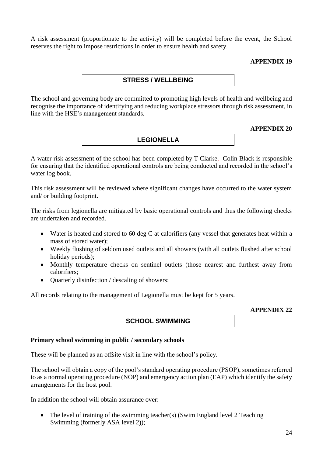A risk assessment (proportionate to the activity) will be completed before the event, the School reserves the right to impose restrictions in order to ensure health and safety.

### **APPENDIX 19**

## **STRESS / WELLBEING**

The school and governing body are committed to promoting high levels of health and wellbeing and recognise the importance of identifying and reducing workplace stressors through risk assessment, in line with the HSE's management standards.

### **APPENDIX 20**

# **LEGIONELLA**

A water risk assessment of the school has been completed by T Clarke. Colin Black is responsible for ensuring that the identified operational controls are being conducted and recorded in the school's water log book.

This risk assessment will be reviewed where significant changes have occurred to the water system and/ or building footprint.

The risks from legionella are mitigated by basic operational controls and thus the following checks are undertaken and recorded.

- Water is heated and stored to 60 deg C at calorifiers (any vessel that generates heat within a mass of stored water);
- Weekly flushing of seldom used outlets and all showers (with all outlets flushed after school holiday periods);
- Monthly temperature checks on sentinel outlets (those nearest and furthest away from calorifiers;
- Quarterly disinfection / descaling of showers;

All records relating to the management of Legionella must be kept for 5 years.

#### **APPENDIX 22**

# **SCHOOL SWIMMING**

## **Primary school swimming in public / secondary schools**

These will be planned as an offsite visit in line with the school's policy.

The school will obtain a copy of the pool's standard operating procedure (PSOP), sometimes referred to as a normal operating procedure (NOP) and emergency action plan (EAP) which identify the safety arrangements for the host pool.

In addition the school will obtain assurance over:

• The level of training of the swimming teacher(s) (Swim England level 2 Teaching Swimming (formerly ASA level 2));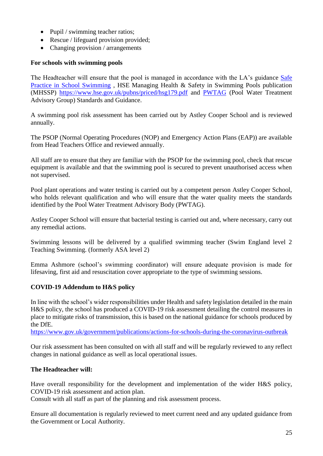- Pupil / swimming teacher ratios;
- Rescue / lifeguard provision provided:
- Changing provision / arrangements

## **For schools with swimming pools**

The Headteacher will ensure that the pool is managed in accordance with the LA's guidance [Safe](https://live-hgfl-the-grid.cloud.contensis.com/health-and-safety-offsite-visits-premises/health-and-safety/health-and-safety-topics/swimming)  [Practice in School Swimming](https://live-hgfl-the-grid.cloud.contensis.com/health-and-safety-offsite-visits-premises/health-and-safety/health-and-safety-topics/swimming) , HSE Managing Health & Safety in Swimming Pools publication (MHSSP)<https://www.hse.gov.uk/pubns/priced/hsg179.pdf> and [PWTAG](https://www.pwtag.org/standards-and-guidance-hub/) (Pool Water Treatment Advisory Group) Standards and Guidance.

A swimming pool risk assessment has been carried out by Astley Cooper School and is reviewed annually.

The PSOP (Normal Operating Procedures (NOP) and Emergency Action Plans (EAP)) are available from Head Teachers Office and reviewed annually.

All staff are to ensure that they are familiar with the PSOP for the swimming pool, check that rescue equipment is available and that the swimming pool is secured to prevent unauthorised access when not supervised.

Pool plant operations and water testing is carried out by a competent person Astley Cooper School, who holds relevant qualification and who will ensure that the water quality meets the standards identified by the Pool Water Treatment Advisory Body (PWTAG).

Astley Cooper School will ensure that bacterial testing is carried out and, where necessary, carry out any remedial actions.

Swimming lessons will be delivered by a qualified swimming teacher (Swim England level 2 Teaching Swimming. (formerly ASA level 2)

Emma Ashmore (school's swimming coordinator) will ensure adequate provision is made for lifesaving, first aid and resuscitation cover appropriate to the type of swimming sessions.

## **COVID-19 Addendum to H&S policy**

In line with the school's wider responsibilities under Health and safety legislation detailed in the main H&S policy, the school has produced a COVID-19 risk assessment detailing the control measures in place to mitigate risks of transmission, this is based on the national guidance for schools produced by the DfE.

<https://www.gov.uk/government/publications/actions-for-schools-during-the-coronavirus-outbreak>

Our risk assessment has been consulted on with all staff and will be regularly reviewed to any reflect changes in national guidance as well as local operational issues.

## **The Headteacher will:**

Have overall responsibility for the development and implementation of the wider H&S policy, COVID-19 risk assessment and action plan.

Consult with all staff as part of the planning and risk assessment process.

Ensure all documentation is regularly reviewed to meet current need and any updated guidance from the Government or Local Authority.